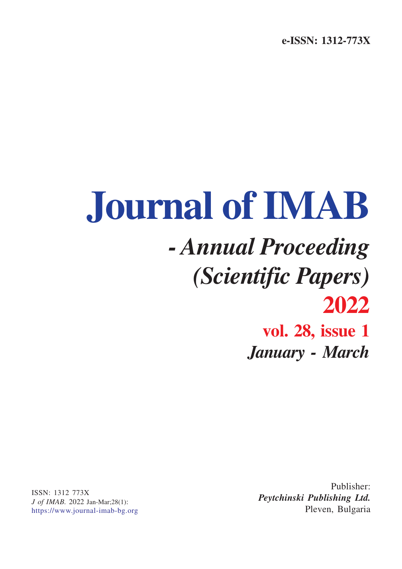**e-ISSN: 1312-773X**

# **Journal of IMAB** *- Annual Proceeding (Scientific Papers)* **2022 vol. 28, issue 1** *January - March*

ISSN: 1312 773X *J of IMAB.* 2022 Jan-Mar;28(1): https://www.journal-imab-bg.org

Publisher: *Peytchinski Publishing Ltd.* Pleven, Bulgaria